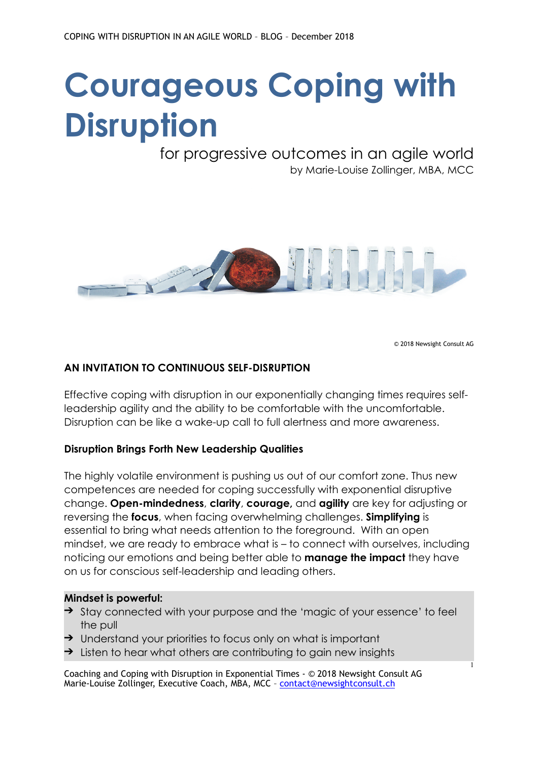# **Courageous Coping with Disruption**

## for progressive outcomes in an agile world by Marie-Louise Zollinger, MBA, MCC



© 2018 Newsight Consult AG

1

#### **AN INVITATION TO CONTINUOUS SELF-DISRUPTION**

Effective coping with disruption in our exponentially changing times requires selfleadership agility and the ability to be comfortable with the uncomfortable. Disruption can be like a wake-up call to full alertness and more awareness.

#### **Disruption Brings Forth New Leadership Qualities**

The highly volatile environment is pushing us out of our comfort zone. Thus new competences are needed for coping successfully with exponential disruptive change. **Open-mindedness**, **clarity**, **courage,** and **agility** are key for adjusting or reversing the **focus**, when facing overwhelming challenges. **Simplifying** is essential to bring what needs attention to the foreground. With an open mindset, we are ready to embrace what is – to connect with ourselves, including noticing our emotions and being better able to **manage the impact** they have on us for conscious self-leadership and leading others.

#### **Mindset is powerful:**

- ➔ Stay connected with your purpose and the 'magic of your essence' to feel the pull
- $\rightarrow$  Understand your priorities to focus only on what is important
- $\rightarrow$  Listen to hear what others are contributing to gain new insights

Coaching and Coping with Disruption in Exponential Times - © 2018 Newsight Consult AG Marie-Louise Zollinger, Executive Coach, MBA, MCC – [contact@newsightconsult.ch](mailto:contact@newsightconsult.ch)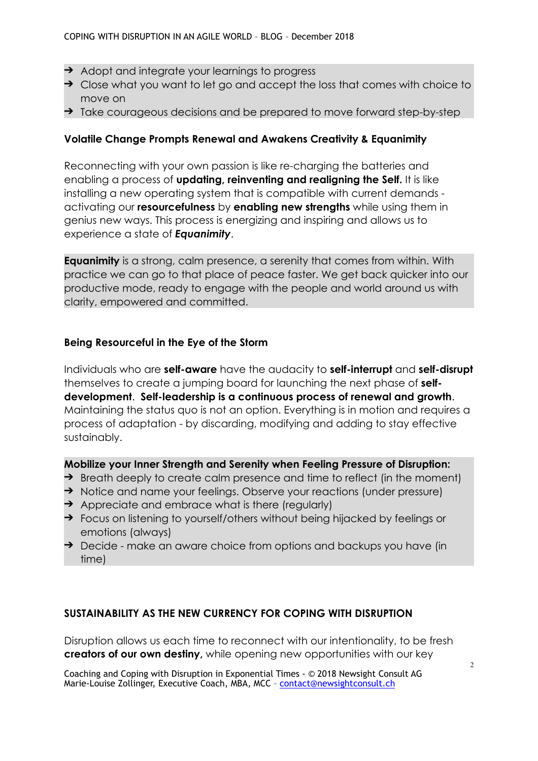- ➔ Adopt and integrate your learnings to progress
- → Close what you want to let go and accept the loss that comes with choice to move on
- ➔ Take courageous decisions and be prepared to move forward step-by-step

#### **Volatile Change Prompts Renewal and Awakens Creativity & Equanimity**

Reconnecting with your own passion is like re-charging the batteries and enabling a process of **updating, reinventing and realigning the Self.** It is like installing a new operating system that is compatible with current demands activating our **resourcefulness** by **enabling new strengths** while using them in genius new ways. This process is energizing and inspiring and allows us to experience a state of *Equanimity*.

**Equanimity** is a strong, calm presence, a serenity that comes from within. With practice we can go to that place of peace faster. We get back quicker into our productive mode, ready to engage with the people and world around us with clarity, empowered and committed.

#### **Being Resourceful in the Eye of the Storm**

Individuals who are **self-aware** have the audacity to **self-interrupt** and **self-disrupt** themselves to create a jumping board for launching the next phase of **selfdevelopment**. **Self-leadership is a continuous process of renewal and growth**. Maintaining the status quo is not an option. Everything is in motion and requires a process of adaptation - by discarding, modifying and adding to stay effective sustainably.

#### **Mobilize your Inner Strength and Serenity when Feeling Pressure of Disruption:**

- $\rightarrow$  Breath deeply to create calm presence and time to reflect (in the moment)
- → Notice and name your feelings. Observe your reactions (under pressure)
- $\rightarrow$  Appreciate and embrace what is there (regularly)
- → Focus on listening to yourself/others without being hijacked by feelings or emotions (always)
- → Decide make an aware choice from options and backups you have (in time)

### **SUSTAINABILITY AS THE NEW CURRENCY FOR COPING WITH DISRUPTION**

Disruption allows us each time to reconnect with our intentionality, to be fresh **creators of our own destiny,** while opening new opportunities with our key

Coaching and Coping with Disruption in Exponential Times - © 2018 Newsight Consult AG Marie-Louise Zollinger, Executive Coach, MBA, MCC - [contact@newsightconsult.ch](mailto:contact@newsightconsult.ch)